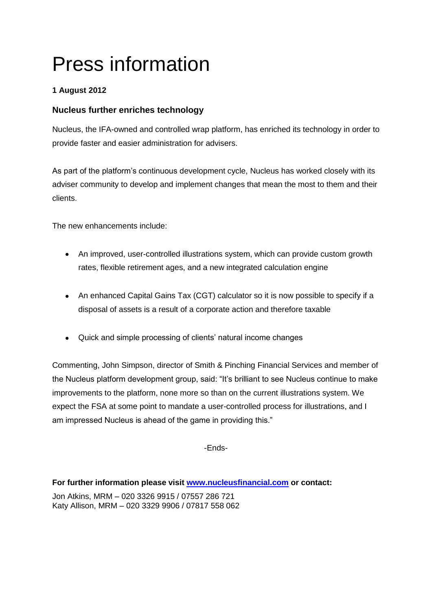# Press information

## **1 August 2012**

### **Nucleus further enriches technology**

Nucleus, the IFA-owned and controlled wrap platform, has enriched its technology in order to provide faster and easier administration for advisers.

As part of the platform's continuous development cycle, Nucleus has worked closely with its adviser community to develop and implement changes that mean the most to them and their clients.

The new enhancements include:

- An improved, user-controlled illustrations system, which can provide custom growth rates, flexible retirement ages, and a new integrated calculation engine
- An enhanced Capital Gains Tax (CGT) calculator so it is now possible to specify if a disposal of assets is a result of a corporate action and therefore taxable
- Quick and simple processing of clients' natural income changes

Commenting, John Simpson, director of Smith & Pinching Financial Services and member of the Nucleus platform development group, said: "It's brilliant to see Nucleus continue to make improvements to the platform, none more so than on the current illustrations system. We expect the FSA at some point to mandate a user-controlled process for illustrations, and I am impressed Nucleus is ahead of the game in providing this."

-Ends-

**For further information please visit [www.nucleusfinancial.com](http://www.nucleusfinancial.com/) or contact:**

Jon Atkins, MRM – 020 3326 9915 / 07557 286 721 Katy Allison, MRM – 020 3329 9906 / 07817 558 062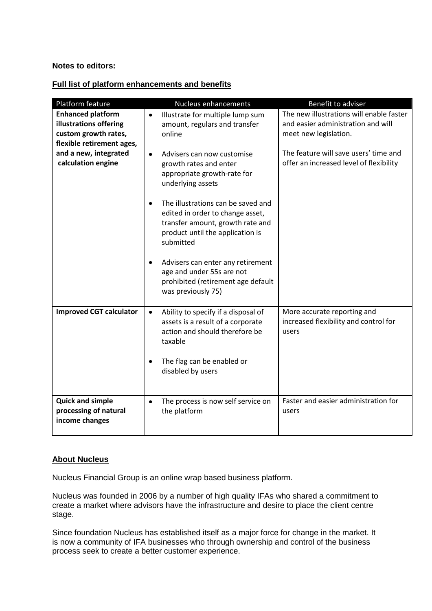#### **Notes to editors:**

#### **Full list of platform enhancements and benefits**

| Platform feature                            | <b>Nucleus enhancements</b>                                                                                                                                                                        | Benefit to adviser                                                               |
|---------------------------------------------|----------------------------------------------------------------------------------------------------------------------------------------------------------------------------------------------------|----------------------------------------------------------------------------------|
| <b>Enhanced platform</b>                    | Illustrate for multiple lump sum<br>$\bullet$                                                                                                                                                      | The new illustrations will enable faster                                         |
| illustrations offering                      | amount, regulars and transfer                                                                                                                                                                      | and easier administration and will                                               |
| custom growth rates,                        | online                                                                                                                                                                                             | meet new legislation.                                                            |
| flexible retirement ages,                   |                                                                                                                                                                                                    |                                                                                  |
| and a new, integrated<br>calculation engine | Advisers can now customise<br>$\bullet$<br>growth rates and enter<br>appropriate growth-rate for<br>underlying assets                                                                              | The feature will save users' time and<br>offer an increased level of flexibility |
|                                             | The illustrations can be saved and<br>$\bullet$<br>edited in order to change asset,<br>transfer amount, growth rate and<br>product until the application is<br>submitted                           |                                                                                  |
|                                             | Advisers can enter any retirement<br>$\bullet$<br>age and under 55s are not<br>prohibited (retirement age default<br>was previously 75)                                                            |                                                                                  |
| <b>Improved CGT calculator</b>              | Ability to specify if a disposal of<br>$\bullet$<br>assets is a result of a corporate<br>action and should therefore be<br>taxable<br>The flag can be enabled or<br>$\bullet$<br>disabled by users | More accurate reporting and<br>increased flexibility and control for<br>users    |
| <b>Quick and simple</b>                     | The process is now self service on<br>$\bullet$                                                                                                                                                    | Faster and easier administration for                                             |
| processing of natural<br>income changes     | the platform                                                                                                                                                                                       | users                                                                            |

#### **About Nucleus**

Nucleus Financial Group is an online wrap based business platform.

Nucleus was founded in 2006 by a number of high quality IFAs who shared a commitment to create a market where advisors have the infrastructure and desire to place the client centre stage.

Since foundation Nucleus has established itself as a major force for change in the market. It is now a community of IFA businesses who through ownership and control of the business process seek to create a better customer experience.